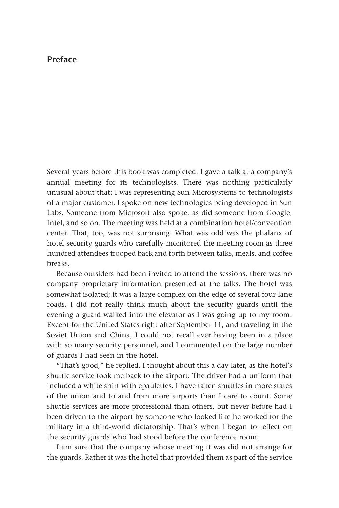## **Preface**

Several years before this book was completed, I gave a talk at a company's annual meeting for its technologists. There was nothing particularly unusual about that; I was representing Sun Microsystems to technologists of a major customer. I spoke on new technologies being developed in Sun Labs. Someone from Microsoft also spoke, as did someone from Google, Intel, and so on. The meeting was held at a combination hotel/convention center. That, too, was not surprising. What was odd was the phalanx of hotel security guards who carefully monitored the meeting room as three hundred attendees trooped back and forth between talks, meals, and coffee breaks.

Because outsiders had been invited to attend the sessions, there was no company proprietary information presented at the talks. The hotel was somewhat isolated; it was a large complex on the edge of several four-lane roads. I did not really think much about the security guards until the evening a guard walked into the elevator as I was going up to my room. Except for the United States right after September 11, and traveling in the Soviet Union and China, I could not recall ever having been in a place with so many security personnel, and I commented on the large number of guards I had seen in the hotel.

" That's good," he replied. I thought about this a day later, as the hotel's shuttle service took me back to the airport. The driver had a uniform that included a white shirt with epaulettes. I have taken shuttles in more states of the union and to and from more airports than I care to count. Some shuttle services are more professional than others, but never before had I been driven to the airport by someone who looked like he worked for the military in a third-world dictatorship. That's when I began to reflect on the security guards who had stood before the conference room.

I am sure that the company whose meeting it was did not arrange for the guards. Rather it was the hotel that provided them as part of the service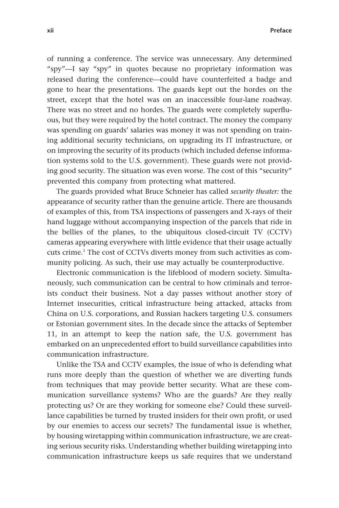of running a conference. The service was unnecessary. Any determined "spy"-I say "spy" in quotes because no proprietary information was released during the conference—could have counterfeited a badge and gone to hear the presentations. The guards kept out the hordes on the street, except that the hotel was on an inaccessible four-lane roadway. There was no street and no hordes. The guards were completely superfluous, but they were required by the hotel contract. The money the company was spending on guards' salaries was money it was not spending on training additional security technicians, on upgrading its IT infrastructure, or on improving the security of its products (which included defense information systems sold to the U.S. government). These guards were not providing good security. The situation was even worse. The cost of this " security " prevented this company from protecting what mattered.

The guards provided what Bruce Schneier has called *security theater:* the appearance of security rather than the genuine article. There are thousands of examples of this, from TSA inspections of passengers and X-rays of their hand luggage without accompanying inspection of the parcels that ride in the bellies of the planes, to the ubiquitous closed-circuit TV (CCTV) cameras appearing everywhere with little evidence that their usage actually cuts crime.<sup>1</sup> The cost of CCTVs diverts money from such activities as community policing. As such, their use may actually be counterproductive.

Electronic communication is the lifeblood of modern society. Simultaneously, such communication can be central to how criminals and terrorists conduct their business. Not a day passes without another story of Internet insecurities, critical infrastructure being attacked, attacks from China on U.S. corporations, and Russian hackers targeting U.S. consumers or Estonian government sites. In the decade since the attacks of September 11, in an attempt to keep the nation safe, the U.S. government has embarked on an unprecedented effort to build surveillance capabilities into communication infrastructure.

Unlike the TSA and CCTV examples, the issue of who is defending what runs more deeply than the question of whether we are diverting funds from techniques that may provide better security. What are these communication surveillance systems? Who are the guards? Are they really protecting us? Or are they working for someone else? Could these surveillance capabilities be turned by trusted insiders for their own profit, or used by our enemies to access our secrets? The fundamental issue is whether, by housing wiretapping within communication infrastructure, we are creating serious security risks. Understanding whether building wiretapping into communication infrastructure keeps us safe requires that we understand